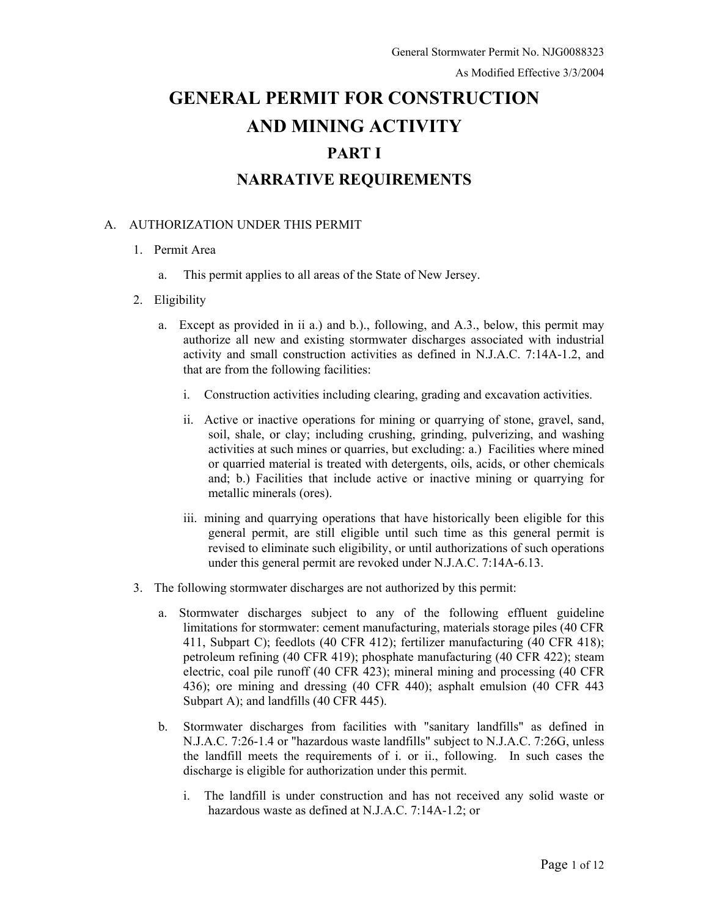# **GENERAL PERMIT FOR CONSTRUCTION AND MINING ACTIVITY PART I NARRATIVE REQUIREMENTS**

## A. AUTHORIZATION UNDER THIS PERMIT

- 1. Permit Area
	- a. This permit applies to all areas of the State of New Jersey.
- 2. Eligibility
	- a. Except as provided in ii a.) and b.)., following, and A.3., below, this permit may authorize all new and existing stormwater discharges associated with industrial activity and small construction activities as defined in N.J.A.C. 7:14A-1.2, and that are from the following facilities:
		- i. Construction activities including clearing, grading and excavation activities.
		- ii. Active or inactive operations for mining or quarrying of stone, gravel, sand, soil, shale, or clay; including crushing, grinding, pulverizing, and washing activities at such mines or quarries, but excluding: a.) Facilities where mined or quarried material is treated with detergents, oils, acids, or other chemicals and; b.) Facilities that include active or inactive mining or quarrying for metallic minerals (ores).
		- iii. mining and quarrying operations that have historically been eligible for this general permit, are still eligible until such time as this general permit is revised to eliminate such eligibility, or until authorizations of such operations under this general permit are revoked under N.J.A.C. 7:14A-6.13.
- 3. The following stormwater discharges are not authorized by this permit:
	- a. Stormwater discharges subject to any of the following effluent guideline limitations for stormwater: cement manufacturing, materials storage piles (40 CFR 411, Subpart C); feedlots (40 CFR 412); fertilizer manufacturing (40 CFR 418); petroleum refining (40 CFR 419); phosphate manufacturing (40 CFR 422); steam electric, coal pile runoff (40 CFR 423); mineral mining and processing (40 CFR 436); ore mining and dressing (40 CFR 440); asphalt emulsion (40 CFR 443 Subpart A); and landfills (40 CFR 445).
	- b. Stormwater discharges from facilities with "sanitary landfills" as defined in N.J.A.C. 7:26-1.4 or "hazardous waste landfills" subject to N.J.A.C. 7:26G, unless the landfill meets the requirements of i. or ii., following. In such cases the discharge is eligible for authorization under this permit.
		- i. The landfill is under construction and has not received any solid waste or hazardous waste as defined at N.J.A.C. 7:14A-1.2; or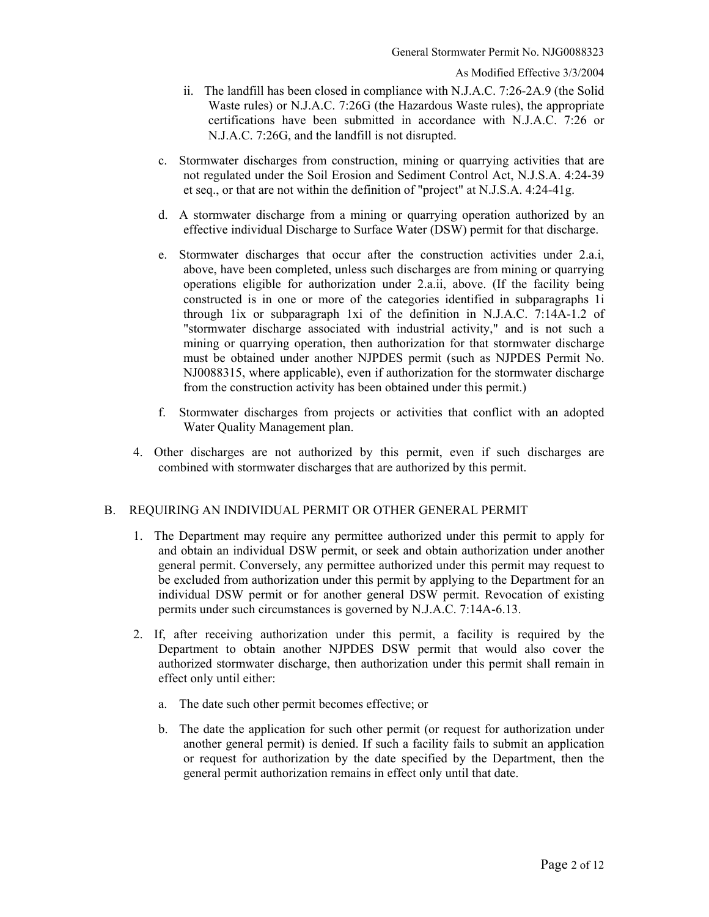- ii. The landfill has been closed in compliance with N.J.A.C. 7:26-2A.9 (the Solid Waste rules) or N.J.A.C. 7:26G (the Hazardous Waste rules), the appropriate certifications have been submitted in accordance with N.J.A.C. 7:26 or N.J.A.C. 7:26G, and the landfill is not disrupted.
- c. Stormwater discharges from construction, mining or quarrying activities that are not regulated under the Soil Erosion and Sediment Control Act, N.J.S.A. 4:24-39 et seq., or that are not within the definition of "project" at N.J.S.A. 4:24-41g.
- d. A stormwater discharge from a mining or quarrying operation authorized by an effective individual Discharge to Surface Water (DSW) permit for that discharge.
- e. Stormwater discharges that occur after the construction activities under 2.a.i, above, have been completed, unless such discharges are from mining or quarrying operations eligible for authorization under 2.a.ii, above. (If the facility being constructed is in one or more of the categories identified in subparagraphs 1i through 1ix or subparagraph 1xi of the definition in N.J.A.C. 7:14A-1.2 of "stormwater discharge associated with industrial activity," and is not such a mining or quarrying operation, then authorization for that stormwater discharge must be obtained under another NJPDES permit (such as NJPDES Permit No. NJ0088315, where applicable), even if authorization for the stormwater discharge from the construction activity has been obtained under this permit.)
- f. Stormwater discharges from projects or activities that conflict with an adopted Water Quality Management plan.
- 4. Other discharges are not authorized by this permit, even if such discharges are combined with stormwater discharges that are authorized by this permit.

# B. REQUIRING AN INDIVIDUAL PERMIT OR OTHER GENERAL PERMIT

- 1. The Department may require any permittee authorized under this permit to apply for and obtain an individual DSW permit, or seek and obtain authorization under another general permit. Conversely, any permittee authorized under this permit may request to be excluded from authorization under this permit by applying to the Department for an individual DSW permit or for another general DSW permit. Revocation of existing permits under such circumstances is governed by N.J.A.C. 7:14A-6.13.
- 2. If, after receiving authorization under this permit, a facility is required by the Department to obtain another NJPDES DSW permit that would also cover the authorized stormwater discharge, then authorization under this permit shall remain in effect only until either:
	- a. The date such other permit becomes effective; or
	- b. The date the application for such other permit (or request for authorization under another general permit) is denied. If such a facility fails to submit an application or request for authorization by the date specified by the Department, then the general permit authorization remains in effect only until that date.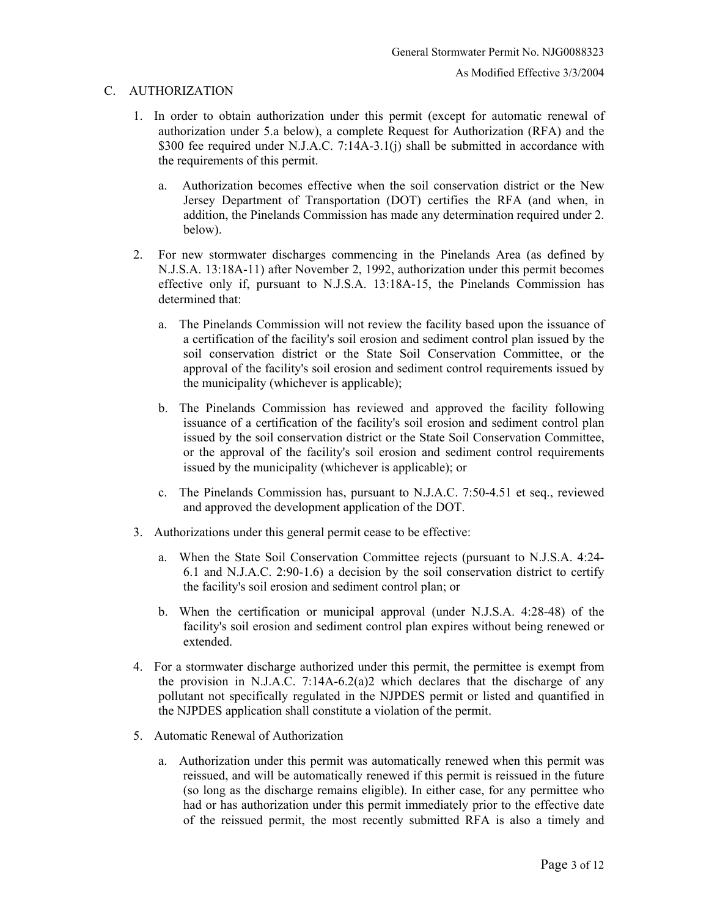#### C. AUTHORIZATION

- 1. In order to obtain authorization under this permit (except for automatic renewal of authorization under 5.a below), a complete Request for Authorization (RFA) and the \$300 fee required under N.J.A.C. 7:14A-3.1(j) shall be submitted in accordance with the requirements of this permit.
	- a. Authorization becomes effective when the soil conservation district or the New Jersey Department of Transportation (DOT) certifies the RFA (and when, in addition, the Pinelands Commission has made any determination required under 2. below).
- 2. For new stormwater discharges commencing in the Pinelands Area (as defined by N.J.S.A. 13:18A-11) after November 2, 1992, authorization under this permit becomes effective only if, pursuant to N.J.S.A. 13:18A-15, the Pinelands Commission has determined that:
	- a. The Pinelands Commission will not review the facility based upon the issuance of a certification of the facility's soil erosion and sediment control plan issued by the soil conservation district or the State Soil Conservation Committee, or the approval of the facility's soil erosion and sediment control requirements issued by the municipality (whichever is applicable);
	- b. The Pinelands Commission has reviewed and approved the facility following issuance of a certification of the facility's soil erosion and sediment control plan issued by the soil conservation district or the State Soil Conservation Committee, or the approval of the facility's soil erosion and sediment control requirements issued by the municipality (whichever is applicable); or
	- c. The Pinelands Commission has, pursuant to N.J.A.C. 7:50-4.51 et seq., reviewed and approved the development application of the DOT.
- 3. Authorizations under this general permit cease to be effective:
	- a. When the State Soil Conservation Committee rejects (pursuant to N.J.S.A. 4:24- 6.1 and N.J.A.C. 2:90-1.6) a decision by the soil conservation district to certify the facility's soil erosion and sediment control plan; or
	- b. When the certification or municipal approval (under N.J.S.A. 4:28-48) of the facility's soil erosion and sediment control plan expires without being renewed or extended.
- 4. For a stormwater discharge authorized under this permit, the permittee is exempt from the provision in N.J.A.C. 7:14A-6.2(a)2 which declares that the discharge of any pollutant not specifically regulated in the NJPDES permit or listed and quantified in the NJPDES application shall constitute a violation of the permit.
- 5. Automatic Renewal of Authorization
	- a. Authorization under this permit was automatically renewed when this permit was reissued, and will be automatically renewed if this permit is reissued in the future (so long as the discharge remains eligible). In either case, for any permittee who had or has authorization under this permit immediately prior to the effective date of the reissued permit, the most recently submitted RFA is also a timely and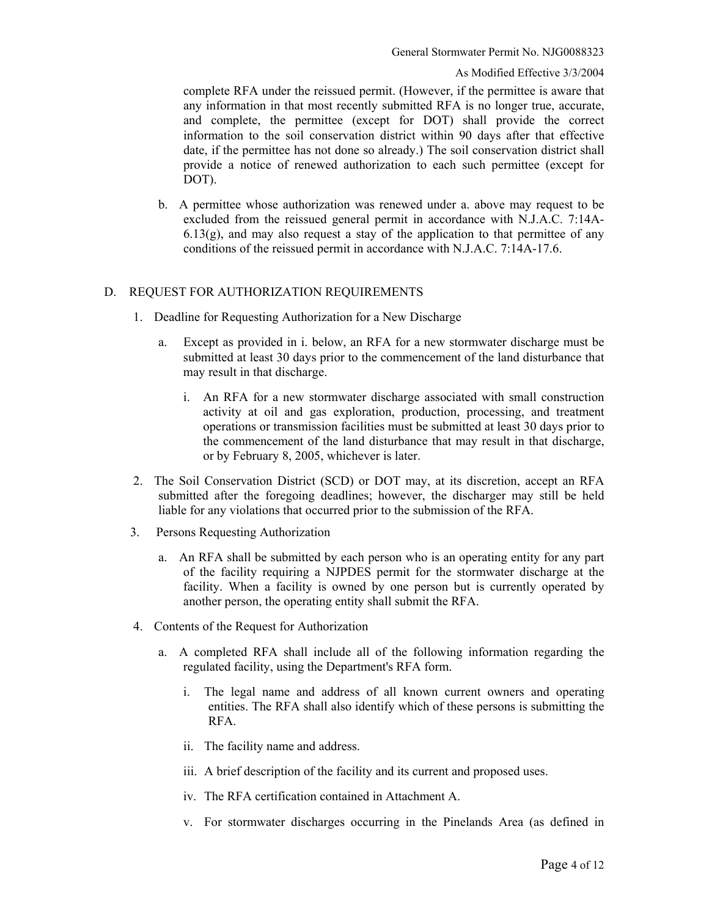#### As Modified Effective 3/3/2004

complete RFA under the reissued permit. (However, if the permittee is aware that any information in that most recently submitted RFA is no longer true, accurate, and complete, the permittee (except for DOT) shall provide the correct information to the soil conservation district within 90 days after that effective date, if the permittee has not done so already.) The soil conservation district shall provide a notice of renewed authorization to each such permittee (except for DOT).

b. A permittee whose authorization was renewed under a. above may request to be excluded from the reissued general permit in accordance with N.J.A.C. 7:14A- $6.13(g)$ , and may also request a stay of the application to that permittee of any conditions of the reissued permit in accordance with N.J.A.C. 7:14A-17.6.

### D. REQUEST FOR AUTHORIZATION REQUIREMENTS

- 1. Deadline for Requesting Authorization for a New Discharge
	- a. Except as provided in i. below, an RFA for a new stormwater discharge must be submitted at least 30 days prior to the commencement of the land disturbance that may result in that discharge.
		- i. An RFA for a new stormwater discharge associated with small construction activity at oil and gas exploration, production, processing, and treatment operations or transmission facilities must be submitted at least 30 days prior to the commencement of the land disturbance that may result in that discharge, or by February 8, 2005, whichever is later.
- 2. The Soil Conservation District (SCD) or DOT may, at its discretion, accept an RFA submitted after the foregoing deadlines; however, the discharger may still be held liable for any violations that occurred prior to the submission of the RFA.
- 3. Persons Requesting Authorization
	- a. An RFA shall be submitted by each person who is an operating entity for any part of the facility requiring a NJPDES permit for the stormwater discharge at the facility. When a facility is owned by one person but is currently operated by another person, the operating entity shall submit the RFA.
- 4. Contents of the Request for Authorization
	- a. A completed RFA shall include all of the following information regarding the regulated facility, using the Department's RFA form.
		- i. The legal name and address of all known current owners and operating entities. The RFA shall also identify which of these persons is submitting the RFA.
		- ii. The facility name and address.
		- iii. A brief description of the facility and its current and proposed uses.
		- iv. The RFA certification contained in Attachment A.
		- v. For stormwater discharges occurring in the Pinelands Area (as defined in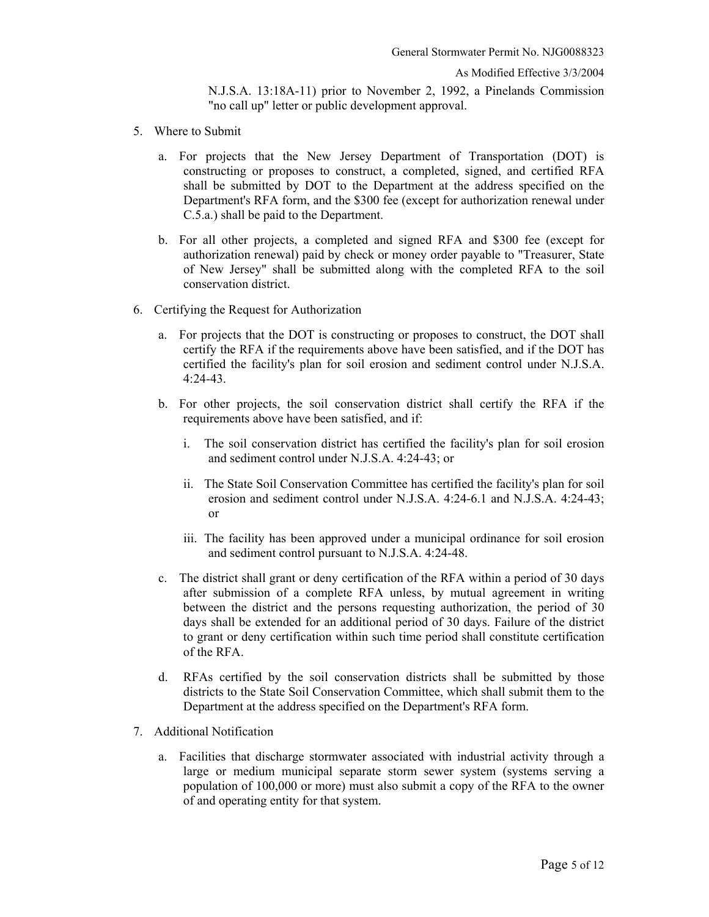N.J.S.A. 13:18A-11) prior to November 2, 1992, a Pinelands Commission "no call up" letter or public development approval.

- 5. Where to Submit
	- a. For projects that the New Jersey Department of Transportation (DOT) is constructing or proposes to construct, a completed, signed, and certified RFA shall be submitted by DOT to the Department at the address specified on the Department's RFA form, and the \$300 fee (except for authorization renewal under C.5.a.) shall be paid to the Department.
	- b. For all other projects, a completed and signed RFA and \$300 fee (except for authorization renewal) paid by check or money order payable to "Treasurer, State of New Jersey" shall be submitted along with the completed RFA to the soil conservation district.
- 6. Certifying the Request for Authorization
	- a. For projects that the DOT is constructing or proposes to construct, the DOT shall certify the RFA if the requirements above have been satisfied, and if the DOT has certified the facility's plan for soil erosion and sediment control under N.J.S.A. 4:24-43.
	- b. For other projects, the soil conservation district shall certify the RFA if the requirements above have been satisfied, and if:
		- i. The soil conservation district has certified the facility's plan for soil erosion and sediment control under N.J.S.A. 4:24-43; or
		- ii. The State Soil Conservation Committee has certified the facility's plan for soil erosion and sediment control under N.J.S.A. 4:24-6.1 and N.J.S.A. 4:24-43; or
		- iii. The facility has been approved under a municipal ordinance for soil erosion and sediment control pursuant to N.J.S.A. 4:24-48.
	- c. The district shall grant or deny certification of the RFA within a period of 30 days after submission of a complete RFA unless, by mutual agreement in writing between the district and the persons requesting authorization, the period of 30 days shall be extended for an additional period of 30 days. Failure of the district to grant or deny certification within such time period shall constitute certification of the RFA.
	- d. RFAs certified by the soil conservation districts shall be submitted by those districts to the State Soil Conservation Committee, which shall submit them to the Department at the address specified on the Department's RFA form.
- 7. Additional Notification
	- a. Facilities that discharge stormwater associated with industrial activity through a large or medium municipal separate storm sewer system (systems serving a population of 100,000 or more) must also submit a copy of the RFA to the owner of and operating entity for that system.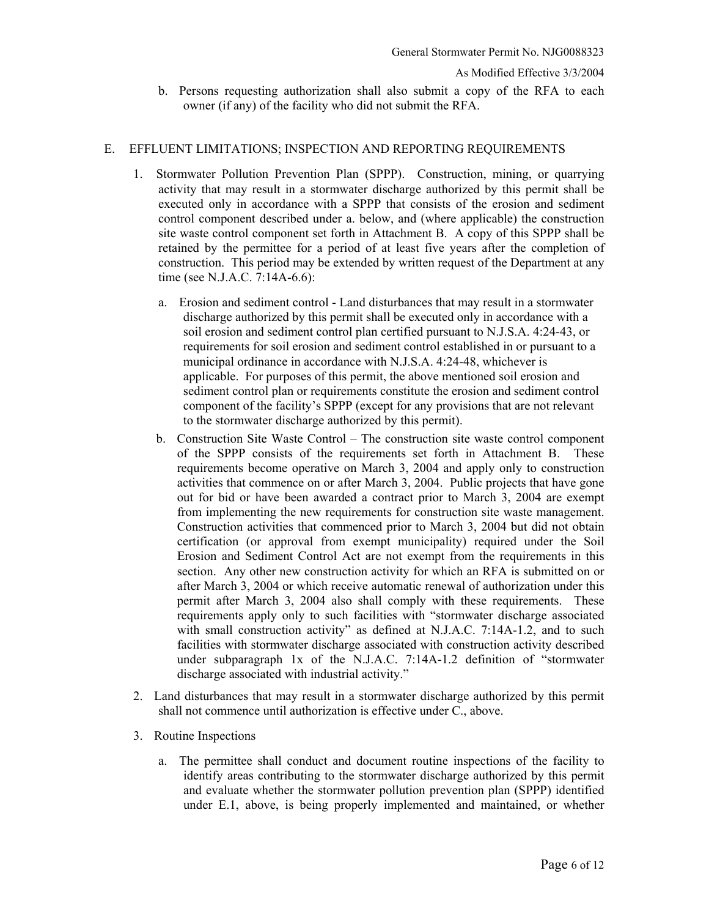b. Persons requesting authorization shall also submit a copy of the RFA to each owner (if any) of the facility who did not submit the RFA.

### E. EFFLUENT LIMITATIONS; INSPECTION AND REPORTING REQUIREMENTS

- 1. Stormwater Pollution Prevention Plan (SPPP). Construction, mining, or quarrying activity that may result in a stormwater discharge authorized by this permit shall be executed only in accordance with a SPPP that consists of the erosion and sediment control component described under a. below, and (where applicable) the construction site waste control component set forth in Attachment B. A copy of this SPPP shall be retained by the permittee for a period of at least five years after the completion of construction. This period may be extended by written request of the Department at any time (see N.J.A.C. 7:14A-6.6):
	- a. Erosion and sediment control Land disturbances that may result in a stormwater discharge authorized by this permit shall be executed only in accordance with a soil erosion and sediment control plan certified pursuant to N.J.S.A. 4:24-43, or requirements for soil erosion and sediment control established in or pursuant to a municipal ordinance in accordance with N.J.S.A. 4:24-48, whichever is applicable. For purposes of this permit, the above mentioned soil erosion and sediment control plan or requirements constitute the erosion and sediment control component of the facility's SPPP (except for any provisions that are not relevant to the stormwater discharge authorized by this permit).
	- b. Construction Site Waste Control The construction site waste control component of the SPPP consists of the requirements set forth in Attachment B. These requirements become operative on March 3, 2004 and apply only to construction activities that commence on or after March 3, 2004. Public projects that have gone out for bid or have been awarded a contract prior to March 3, 2004 are exempt from implementing the new requirements for construction site waste management. Construction activities that commenced prior to March 3, 2004 but did not obtain certification (or approval from exempt municipality) required under the Soil Erosion and Sediment Control Act are not exempt from the requirements in this section. Any other new construction activity for which an RFA is submitted on or after March 3, 2004 or which receive automatic renewal of authorization under this permit after March 3, 2004 also shall comply with these requirements. These requirements apply only to such facilities with "stormwater discharge associated with small construction activity" as defined at N.J.A.C. 7:14A-1.2, and to such facilities with stormwater discharge associated with construction activity described under subparagraph 1x of the N.J.A.C. 7:14A-1.2 definition of "stormwater discharge associated with industrial activity."
- 2. Land disturbances that may result in a stormwater discharge authorized by this permit shall not commence until authorization is effective under C., above.
- 3. Routine Inspections
	- a. The permittee shall conduct and document routine inspections of the facility to identify areas contributing to the stormwater discharge authorized by this permit and evaluate whether the stormwater pollution prevention plan (SPPP) identified under E.1, above, is being properly implemented and maintained, or whether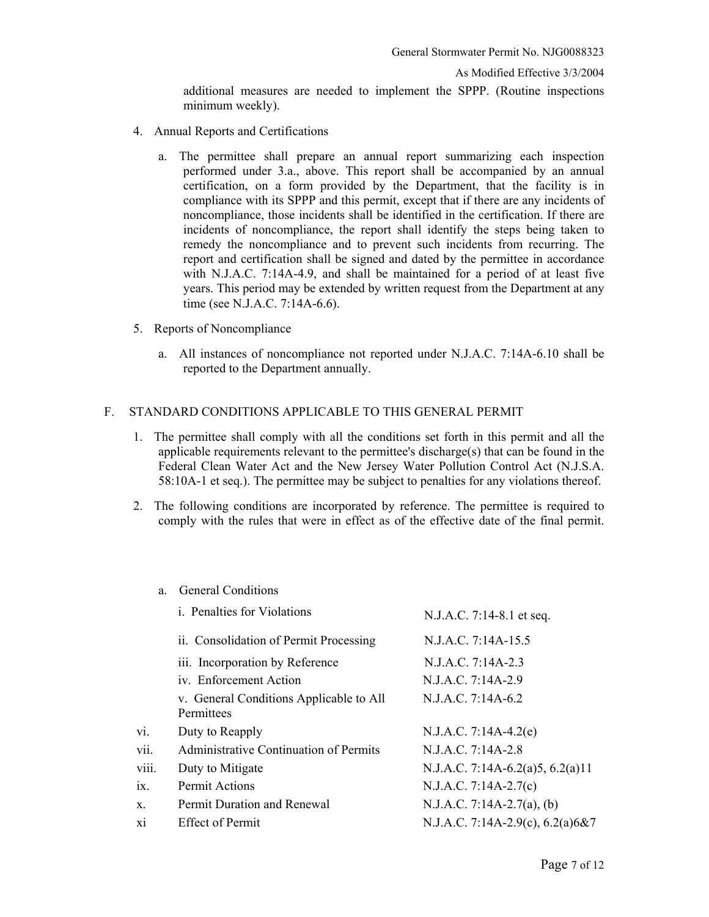As Modified Effective 3/3/2004

additional measures are needed to implement the SPPP. (Routine inspections minimum weekly).

- 4. Annual Reports and Certifications
	- a. The permittee shall prepare an annual report summarizing each inspection performed under 3.a., above. This report shall be accompanied by an annual certification, on a form provided by the Department, that the facility is in compliance with its SPPP and this permit, except that if there are any incidents of noncompliance, those incidents shall be identified in the certification. If there are incidents of noncompliance, the report shall identify the steps being taken to remedy the noncompliance and to prevent such incidents from recurring. The report and certification shall be signed and dated by the permittee in accordance with N.J.A.C. 7:14A-4.9, and shall be maintained for a period of at least five years. This period may be extended by written request from the Department at any time (see N.J.A.C. 7:14A-6.6).
- 5. Reports of Noncompliance
	- a. All instances of noncompliance not reported under N.J.A.C. 7:14A-6.10 shall be reported to the Department annually.

#### F. STANDARD CONDITIONS APPLICABLE TO THIS GENERAL PERMIT

- 1. The permittee shall comply with all the conditions set forth in this permit and all the applicable requirements relevant to the permittee's discharge(s) that can be found in the Federal Clean Water Act and the New Jersey Water Pollution Control Act (N.J.S.A. 58:10A-1 et seq.). The permittee may be subject to penalties for any violations thereof.
- 2. The following conditions are incorporated by reference. The permittee is required to comply with the rules that were in effect as of the effective date of the final permit.

#### a. General Conditions

|       | <i>i.</i> Penalties for Violations                    | N.J.A.C. 7:14-8.1 et seq.          |
|-------|-------------------------------------------------------|------------------------------------|
|       | ii. Consolidation of Permit Processing                | N.J.A.C. 7:14A-15.5                |
|       | iii. Incorporation by Reference                       | N.J.A.C. 7:14A-2.3                 |
|       | iv. Enforcement Action                                | N.J.A.C. 7:14A-2.9                 |
|       | v. General Conditions Applicable to All<br>Permittees | N.J.A.C. 7:14A-6.2                 |
| vi.   | Duty to Reapply                                       | $N.J.A.C. 7:14A-4.2(e)$            |
| vii.  | Administrative Continuation of Permits                | N.J.A.C. 7:14A-2.8                 |
| viii. | Duty to Mitigate                                      | N.J.A.C. 7:14A-6.2(a)5, 6.2(a)11   |
| ix.   | <b>Permit Actions</b>                                 | N.J.A.C. 7:14A-2.7(c)              |
| Χ.    | <b>Permit Duration and Renewal</b>                    | N.J.A.C. 7:14A-2.7(a), (b)         |
| хi    | <b>Effect of Permit</b>                               | N.J.A.C. 7:14A-2.9(c), $6.2(a)6&7$ |
|       |                                                       |                                    |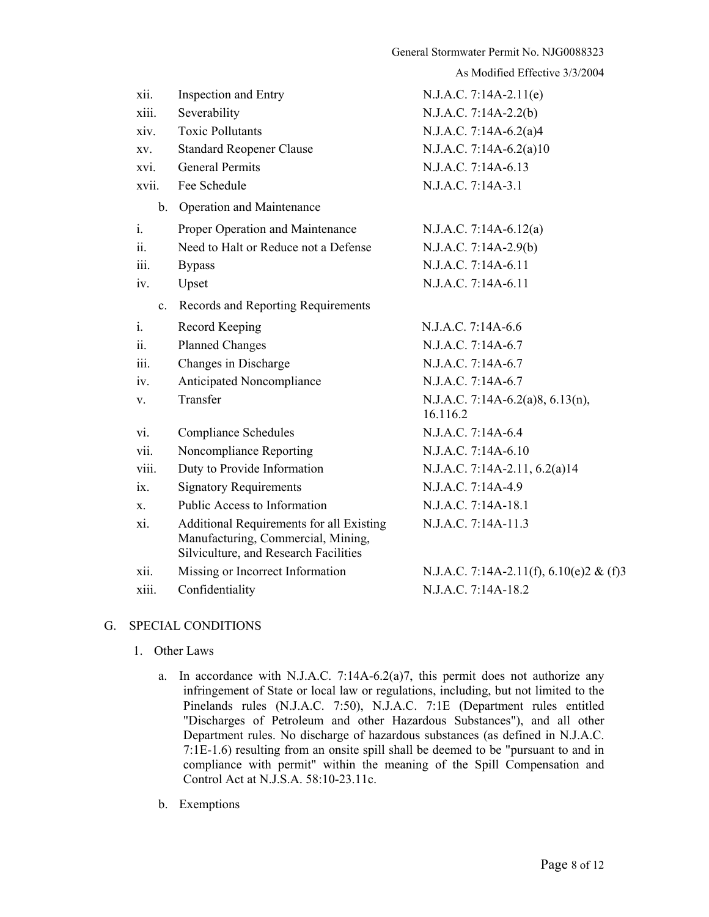| xii.     | Inspection and Entry                                                                                                           | $N.J.A.C. 7:14A-2.11(e)$                     |
|----------|--------------------------------------------------------------------------------------------------------------------------------|----------------------------------------------|
| xiii.    | Severability                                                                                                                   | $N.J.A.C. 7:14A-2.2(b)$                      |
| xiv.     | <b>Toxic Pollutants</b>                                                                                                        | N.J.A.C. 7:14A-6.2(a)4                       |
| XV.      | <b>Standard Reopener Clause</b>                                                                                                | N.J.A.C. 7:14A-6.2(a)10                      |
| xvi.     | <b>General Permits</b>                                                                                                         | N.J.A.C. 7:14A-6.13                          |
| xvii.    | Fee Schedule                                                                                                                   | N.J.A.C. 7:14A-3.1                           |
|          | b. Operation and Maintenance                                                                                                   |                                              |
| $i$ .    | Proper Operation and Maintenance                                                                                               | $N.J.A.C. 7:14A-6.12(a)$                     |
| ii.      | Need to Halt or Reduce not a Defense                                                                                           | N.J.A.C. 7:14A-2.9(b)                        |
| 111.     | <b>Bypass</b>                                                                                                                  | N.J.A.C. 7:14A-6.11                          |
| iv.      | Upset                                                                                                                          | N.J.A.C. 7:14A-6.11                          |
| $c_{-}$  | Records and Reporting Requirements                                                                                             |                                              |
| $i$ .    | Record Keeping                                                                                                                 | N.J.A.C. 7:14A-6.6                           |
| 11.      | <b>Planned Changes</b>                                                                                                         | N.J.A.C. 7:14A-6.7                           |
| iii.     | Changes in Discharge                                                                                                           | N.J.A.C. 7:14A-6.7                           |
| iv.      | Anticipated Noncompliance                                                                                                      | N.J.A.C. 7:14A-6.7                           |
| V.       | Transfer                                                                                                                       | N.J.A.C. 7:14A-6.2(a)8, 6.13(n),<br>16.116.2 |
| vi.      | <b>Compliance Schedules</b>                                                                                                    | N.J.A.C. 7:14A-6.4                           |
| vii.     | Noncompliance Reporting                                                                                                        | N.J.A.C. 7:14A-6.10                          |
| viii.    | Duty to Provide Information                                                                                                    | N.J.A.C. 7:14A-2.11, 6.2(a)14                |
| $ix_{-}$ | <b>Signatory Requirements</b>                                                                                                  | N.J.A.C. 7:14A-4.9                           |
| $X_{-}$  | Public Access to Information                                                                                                   | N.J.A.C. 7:14A-18.1                          |
| xi.      | <b>Additional Requirements for all Existing</b><br>Manufacturing, Commercial, Mining,<br>Silviculture, and Research Facilities | N.J.A.C. 7:14A-11.3                          |
| X11.     | Missing or Incorrect Information                                                                                               | N.J.A.C. 7:14A-2.11(f), 6.10(e)2 & (f)3      |
| xiii.    | Confidentiality                                                                                                                | N.J.A.C. 7:14A-18.2                          |
|          |                                                                                                                                |                                              |

# G. SPECIAL CONDITIONS

- 1. Other Laws
	- a. In accordance with N.J.A.C. 7:14A-6.2(a)7, this permit does not authorize any infringement of State or local law or regulations, including, but not limited to the Pinelands rules (N.J.A.C. 7:50), N.J.A.C. 7:1E (Department rules entitled "Discharges of Petroleum and other Hazardous Substances"), and all other Department rules. No discharge of hazardous substances (as defined in N.J.A.C. 7:1E-1.6) resulting from an onsite spill shall be deemed to be "pursuant to and in compliance with permit" within the meaning of the Spill Compensation and Control Act at N.J.S.A. 58:10-23.11c.
	- b. Exemptions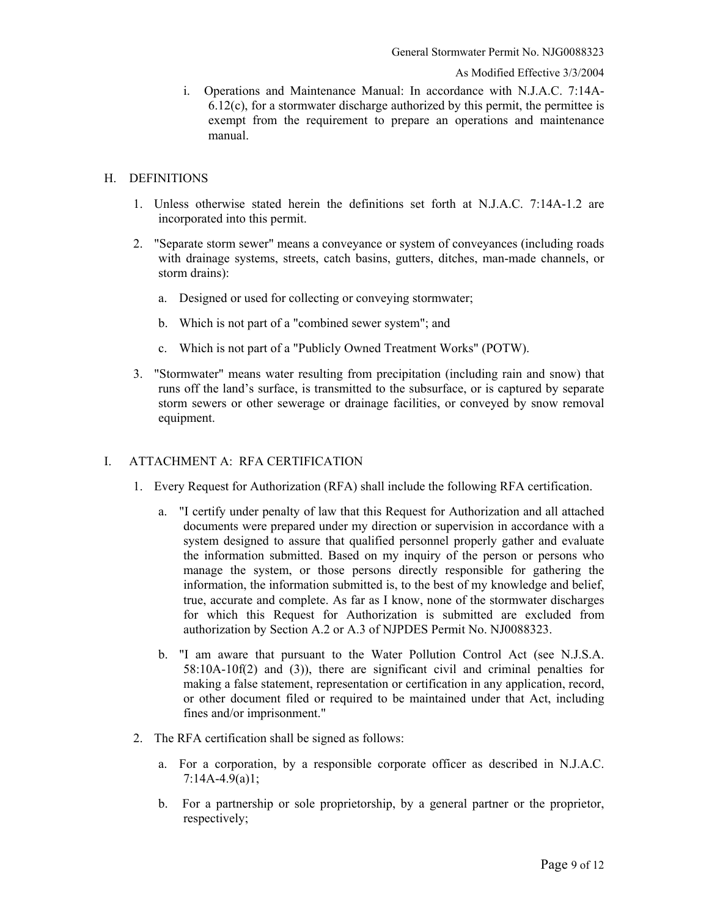i. Operations and Maintenance Manual: In accordance with N.J.A.C. 7:14A-6.12(c), for a stormwater discharge authorized by this permit, the permittee is exempt from the requirement to prepare an operations and maintenance manual.

### H. DEFINITIONS

- 1. Unless otherwise stated herein the definitions set forth at N.J.A.C. 7:14A-1.2 are incorporated into this permit.
- 2. "Separate storm sewer" means a conveyance or system of conveyances (including roads with drainage systems, streets, catch basins, gutters, ditches, man-made channels, or storm drains):
	- a. Designed or used for collecting or conveying stormwater;
	- b. Which is not part of a "combined sewer system"; and
	- c. Which is not part of a "Publicly Owned Treatment Works" (POTW).
- 3. "Stormwater" means water resulting from precipitation (including rain and snow) that runs off the land's surface, is transmitted to the subsurface, or is captured by separate storm sewers or other sewerage or drainage facilities, or conveyed by snow removal equipment.

## I. ATTACHMENT A: RFA CERTIFICATION

- 1. Every Request for Authorization (RFA) shall include the following RFA certification.
	- a. "I certify under penalty of law that this Request for Authorization and all attached documents were prepared under my direction or supervision in accordance with a system designed to assure that qualified personnel properly gather and evaluate the information submitted. Based on my inquiry of the person or persons who manage the system, or those persons directly responsible for gathering the information, the information submitted is, to the best of my knowledge and belief, true, accurate and complete. As far as I know, none of the stormwater discharges for which this Request for Authorization is submitted are excluded from authorization by Section A.2 or A.3 of NJPDES Permit No. NJ0088323.
	- b. "I am aware that pursuant to the Water Pollution Control Act (see N.J.S.A. 58:10A-10f(2) and (3)), there are significant civil and criminal penalties for making a false statement, representation or certification in any application, record, or other document filed or required to be maintained under that Act, including fines and/or imprisonment."
- 2. The RFA certification shall be signed as follows:
	- a. For a corporation, by a responsible corporate officer as described in N.J.A.C. 7:14A-4.9(a)1;
	- b. For a partnership or sole proprietorship, by a general partner or the proprietor, respectively;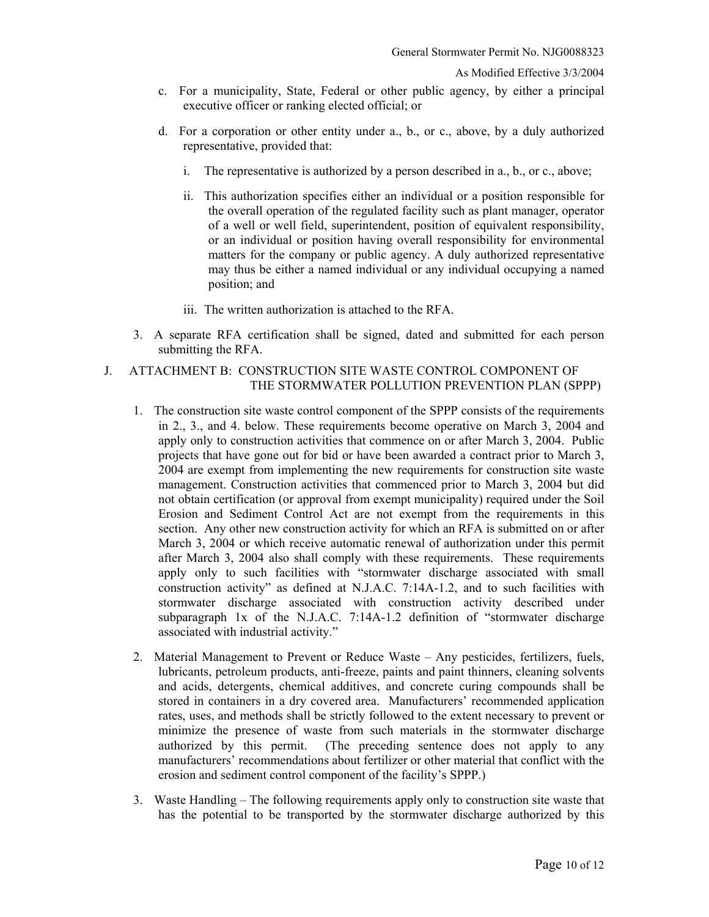- c. For a municipality, State, Federal or other public agency, by either a principal executive officer or ranking elected official; or
- d. For a corporation or other entity under a., b., or c., above, by a duly authorized representative, provided that:
	- i. The representative is authorized by a person described in a., b., or c., above;
	- ii. This authorization specifies either an individual or a position responsible for the overall operation of the regulated facility such as plant manager, operator of a well or well field, superintendent, position of equivalent responsibility, or an individual or position having overall responsibility for environmental matters for the company or public agency. A duly authorized representative may thus be either a named individual or any individual occupying a named position; and
	- iii. The written authorization is attached to the RFA.
- 3. A separate RFA certification shall be signed, dated and submitted for each person submitting the RFA.
- J. ATTACHMENT B: CONSTRUCTION SITE WASTE CONTROL COMPONENT OF THE STORMWATER POLLUTION PREVENTION PLAN (SPPP)
	- 1. The construction site waste control component of the SPPP consists of the requirements in 2., 3., and 4. below. These requirements become operative on March 3, 2004 and apply only to construction activities that commence on or after March 3, 2004. Public projects that have gone out for bid or have been awarded a contract prior to March 3, 2004 are exempt from implementing the new requirements for construction site waste management. Construction activities that commenced prior to March 3, 2004 but did not obtain certification (or approval from exempt municipality) required under the Soil Erosion and Sediment Control Act are not exempt from the requirements in this section. Any other new construction activity for which an RFA is submitted on or after March 3, 2004 or which receive automatic renewal of authorization under this permit after March 3, 2004 also shall comply with these requirements. These requirements apply only to such facilities with "stormwater discharge associated with small construction activity" as defined at N.J.A.C. 7:14A-1.2, and to such facilities with stormwater discharge associated with construction activity described under subparagraph 1x of the N.J.A.C. 7:14A-1.2 definition of "stormwater discharge associated with industrial activity."
	- 2. Material Management to Prevent or Reduce Waste Any pesticides, fertilizers, fuels, lubricants, petroleum products, anti-freeze, paints and paint thinners, cleaning solvents and acids, detergents, chemical additives, and concrete curing compounds shall be stored in containers in a dry covered area. Manufacturers' recommended application rates, uses, and methods shall be strictly followed to the extent necessary to prevent or minimize the presence of waste from such materials in the stormwater discharge authorized by this permit. (The preceding sentence does not apply to any manufacturers' recommendations about fertilizer or other material that conflict with the erosion and sediment control component of the facility's SPPP.)
	- 3. Waste Handling The following requirements apply only to construction site waste that has the potential to be transported by the stormwater discharge authorized by this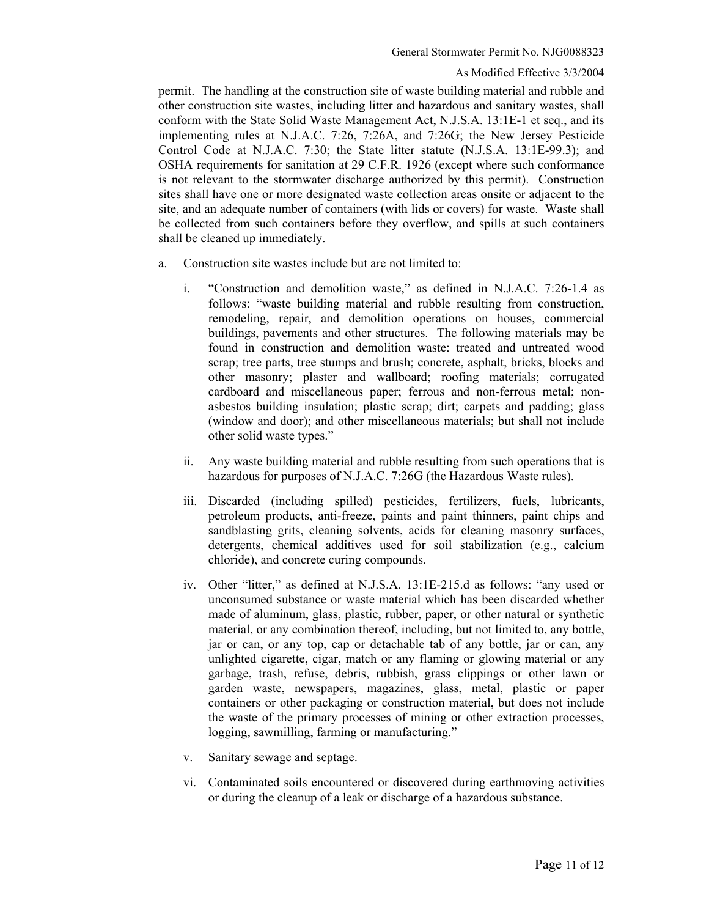permit. The handling at the construction site of waste building material and rubble and other construction site wastes, including litter and hazardous and sanitary wastes, shall conform with the State Solid Waste Management Act, N.J.S.A. 13:1E-1 et seq., and its implementing rules at N.J.A.C. 7:26, 7:26A, and 7:26G; the New Jersey Pesticide Control Code at N.J.A.C. 7:30; the State litter statute (N.J.S.A. 13:1E-99.3); and OSHA requirements for sanitation at 29 C.F.R. 1926 (except where such conformance is not relevant to the stormwater discharge authorized by this permit). Construction sites shall have one or more designated waste collection areas onsite or adjacent to the site, and an adequate number of containers (with lids or covers) for waste. Waste shall be collected from such containers before they overflow, and spills at such containers shall be cleaned up immediately.

- a. Construction site wastes include but are not limited to:
	- i. "Construction and demolition waste," as defined in N.J.A.C. 7:26-1.4 as follows: "waste building material and rubble resulting from construction, remodeling, repair, and demolition operations on houses, commercial buildings, pavements and other structures. The following materials may be found in construction and demolition waste: treated and untreated wood scrap; tree parts, tree stumps and brush; concrete, asphalt, bricks, blocks and other masonry; plaster and wallboard; roofing materials; corrugated cardboard and miscellaneous paper; ferrous and non-ferrous metal; nonasbestos building insulation; plastic scrap; dirt; carpets and padding; glass (window and door); and other miscellaneous materials; but shall not include other solid waste types."
	- ii. Any waste building material and rubble resulting from such operations that is hazardous for purposes of N.J.A.C. 7:26G (the Hazardous Waste rules).
	- iii. Discarded (including spilled) pesticides, fertilizers, fuels, lubricants, petroleum products, anti-freeze, paints and paint thinners, paint chips and sandblasting grits, cleaning solvents, acids for cleaning masonry surfaces, detergents, chemical additives used for soil stabilization (e.g., calcium chloride), and concrete curing compounds.
	- iv. Other "litter," as defined at N.J.S.A. 13:1E-215.d as follows: "any used or unconsumed substance or waste material which has been discarded whether made of aluminum, glass, plastic, rubber, paper, or other natural or synthetic material, or any combination thereof, including, but not limited to, any bottle, jar or can, or any top, cap or detachable tab of any bottle, jar or can, any unlighted cigarette, cigar, match or any flaming or glowing material or any garbage, trash, refuse, debris, rubbish, grass clippings or other lawn or garden waste, newspapers, magazines, glass, metal, plastic or paper containers or other packaging or construction material, but does not include the waste of the primary processes of mining or other extraction processes, logging, sawmilling, farming or manufacturing."
	- v. Sanitary sewage and septage.
	- vi. Contaminated soils encountered or discovered during earthmoving activities or during the cleanup of a leak or discharge of a hazardous substance.